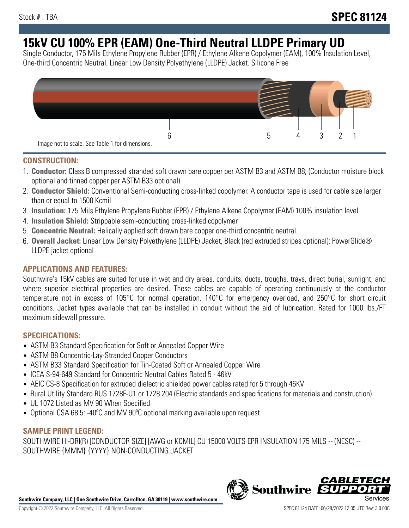# **15kV CU 100% EPR (EAM) One-Third Neutral LLDPE Primary UD**

Single Conductor, 175 Mils Ethylene Propylene Rubber (EPR) / Ethylene Alkene Copolymer (EAM), 100% Insulation Level, One-third Concentric Neutral, Linear Low Density Polyethylene (LLDPE) Jacket. Silicone Free



## **CONSTRUCTION:**

- 1. **Conductor:** Class B compressed stranded soft drawn bare copper per ASTM B3 and ASTM B8; (Conductor moisture block optional and tinned copper per ASTM B33 optional)
- 2. **Conductor Shield:** Conventional Semi-conducting cross-linked copolymer. A conductor tape is used for cable size larger than or equal to 1500 Kcmil
- 3. **Insulation:** 175 Mils Ethylene Propylene Rubber (EPR) / Ethylene Alkene Copolymer (EAM) 100% insulation level
- 4. **Insulation Shield:** Strippable semi-conducting cross-linked copolymer
- 5. **Concentric Neutral:** Helically applied soft drawn bare copper one-third concentric neutral
- 6. **Overall Jacket:** Linear Low Density Polyethylene (LLDPE) Jacket, Black (red extruded stripes optional); PowerGlide® LLDPE jacket optional

## **APPLICATIONS AND FEATURES:**

Southwire's 15kV cables are suited for use in wet and dry areas, conduits, ducts, troughs, trays, direct burial, sunlight, and where superior electrical properties are desired. These cables are capable of operating continuously at the conductor temperature not in excess of 105°C for normal operation. 140°C for emergency overload, and 250°C for short circuit conditions. Jacket types available that can be installed in conduit without the aid of lubrication. Rated for 1000 lbs./FT maximum sidewall pressure.

## **SPECIFICATIONS:**

- ASTM B3 Standard Specification for Soft or Annealed Copper Wire
- ASTM B8 Concentric-Lay-Stranded Copper Conductors
- ASTM B33 Standard Specification for Tin-Coated Soft or Annealed Copper Wire
- ICEA S-94-649 Standard for Concentric Neutral Cables Rated 5 46kV
- AEIC CS-8 Specification for extruded dielectric shielded power cables rated for 5 through 46KV
- Rural Utility Standard RUS 1728F-U1 or 1728.204 (Electric standards and specifications for materials and construction)
- UL 1072 Listed as MV 90 When Specified
- Optional CSA 68.5: -40°C and MV 90°C optional marking available upon request

# **SAMPLE PRINT LEGEND:**

SOUTHWIRE HI-DRI(R) [CONDUCTOR SIZE] [AWG or KCMIL] CU 15000 VOLTS EPR INSULATION 175 MILS -- (NESC) -- SOUTHWIRE {MMM} {YYYY} NON-CONDUCTING JACKET

**Southwire Company, LLC | One Southwire Drive, Carrollton, GA 30119 | www.southwire.com**